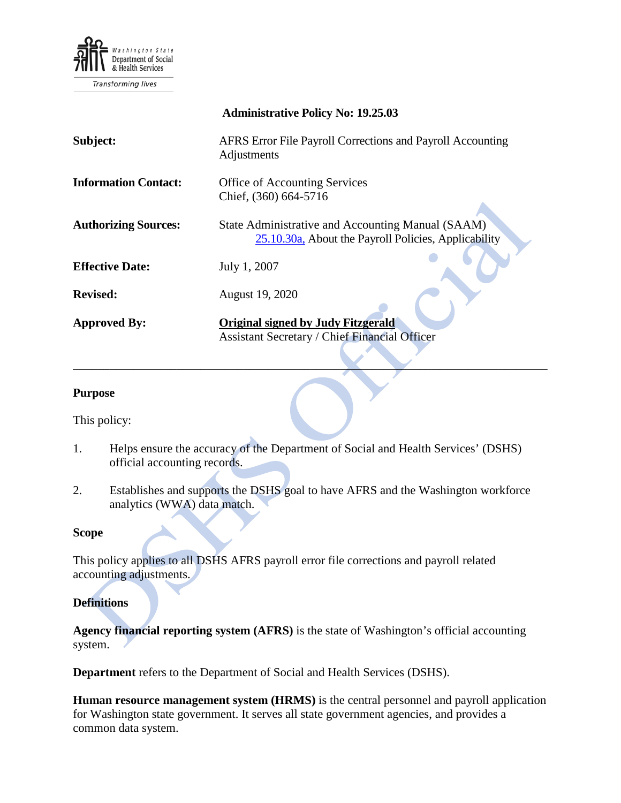

Transforming lives

|                             | <b>Administrative Policy No: 19.25.03</b>                                                                 |
|-----------------------------|-----------------------------------------------------------------------------------------------------------|
| Subject:                    | AFRS Error File Payroll Corrections and Payroll Accounting<br>Adjustments                                 |
| <b>Information Contact:</b> | <b>Office of Accounting Services</b><br>Chief, (360) 664-5716                                             |
| <b>Authorizing Sources:</b> | State Administrative and Accounting Manual (SAAM)<br>25.10.30a, About the Payroll Policies, Applicability |
| <b>Effective Date:</b>      | July 1, 2007                                                                                              |
| <b>Revised:</b>             | August 19, 2020                                                                                           |
| <b>Approved By:</b>         | <b>Original signed by Judy Fitzgerald</b><br><b>Assistant Secretary / Chief Financial Officer</b>         |

#### **Purpose**

This policy:

1. Helps ensure the accuracy of the Department of Social and Health Services' (DSHS) official accounting records.

\_\_\_\_\_\_\_\_\_\_\_\_\_\_\_\_\_\_\_\_\_\_\_\_\_\_\_\_\_\_\_\_\_\_\_\_\_\_\_\_\_\_\_\_\_\_\_\_\_\_\_\_\_\_\_\_\_\_\_\_\_\_\_\_\_\_\_\_\_\_\_\_\_\_\_\_\_\_

2. Establishes and supports the DSHS goal to have AFRS and the Washington workforce analytics (WWA) data match.

#### **Scope**

This policy applies to all DSHS AFRS payroll error file corrections and payroll related accounting adjustments.

#### **Definitions**

**Agency financial reporting system (AFRS)** is the state of Washington's official accounting system.

**Department** refers to the Department of Social and Health Services (DSHS).

**Human resource management system (HRMS)** is the central personnel and payroll application for Washington state government. It serves all state government agencies, and provides a common data system.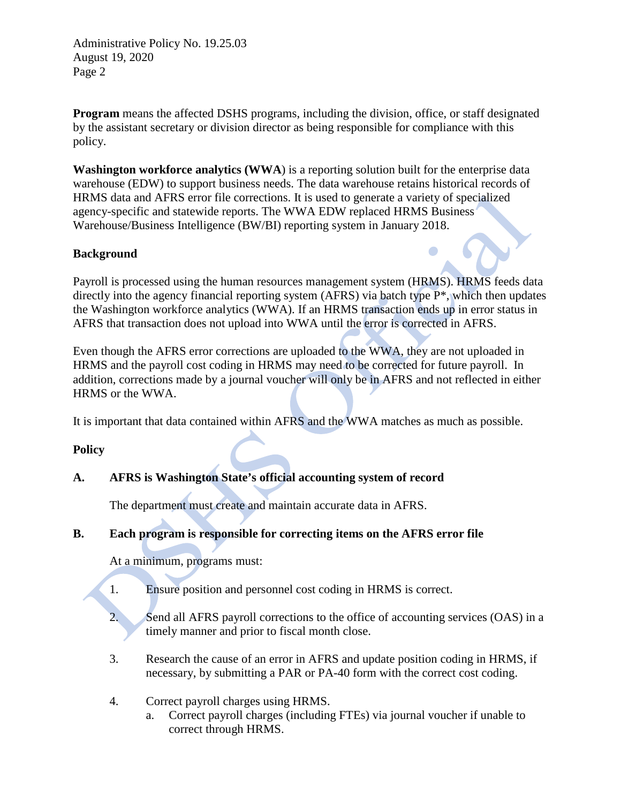Administrative Policy No. 19.25.03 August 19, 2020 Page 2

**Program** means the affected DSHS programs, including the division, office, or staff designated by the assistant secretary or division director as being responsible for compliance with this policy.

**Washington workforce analytics (WWA**) is a reporting solution built for the enterprise data warehouse (EDW) to support business needs. The data warehouse retains historical records of HRMS data and AFRS error file corrections. It is used to generate a variety of specialized agency-specific and statewide reports. The WWA EDW replaced HRMS Business Warehouse/Business Intelligence (BW/BI) reporting system in January 2018.

# **Background**

Payroll is processed using the human resources management system (HRMS). HRMS feeds data directly into the agency financial reporting system (AFRS) via batch type P\*, which then updates the Washington workforce analytics (WWA). If an HRMS transaction ends up in error status in AFRS that transaction does not upload into WWA until the error is corrected in AFRS.

Even though the AFRS error corrections are uploaded to the WWA, they are not uploaded in HRMS and the payroll cost coding in HRMS may need to be corrected for future payroll. In addition, corrections made by a journal voucher will only be in AFRS and not reflected in either HRMS or the WWA.

It is important that data contained within AFRS and the WWA matches as much as possible.

## **Policy**

## **A. AFRS is Washington State's official accounting system of record**

The department must create and maintain accurate data in AFRS.

# **B. Each program is responsible for correcting items on the AFRS error file**

At a minimum, programs must:

- 1. Ensure position and personnel cost coding in HRMS is correct.
- 2. Send all AFRS payroll corrections to the office of accounting services (OAS) in a timely manner and prior to fiscal month close.
- 3. Research the cause of an error in AFRS and update position coding in HRMS, if necessary, by submitting a PAR or PA-40 form with the correct cost coding.
- 4. Correct payroll charges using HRMS.
	- a. Correct payroll charges (including FTEs) via journal voucher if unable to correct through HRMS.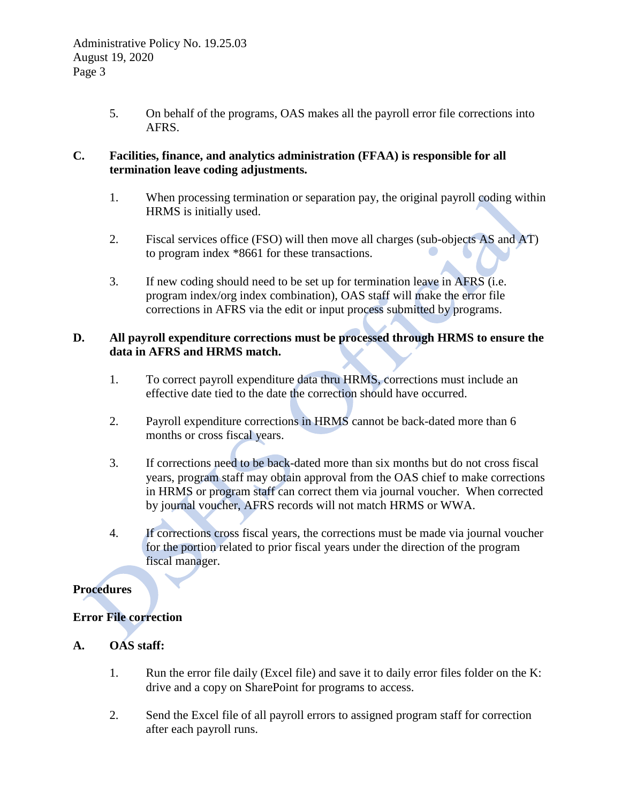5. On behalf of the programs, OAS makes all the payroll error file corrections into AFRS.

### **C. Facilities, finance, and analytics administration (FFAA) is responsible for all termination leave coding adjustments.**

- 1. When processing termination or separation pay, the original payroll coding within HRMS is initially used.
- 2. Fiscal services office (FSO) will then move all charges (sub-objects AS and AT) to program index \*8661 for these transactions.
- 3. If new coding should need to be set up for termination leave in AFRS (i.e. program index/org index combination), OAS staff will make the error file corrections in AFRS via the edit or input process submitted by programs.

## **D. All payroll expenditure corrections must be processed through HRMS to ensure the data in AFRS and HRMS match.**

- 1. To correct payroll expenditure data thru HRMS, corrections must include an effective date tied to the date the correction should have occurred.
- 2. Payroll expenditure corrections in HRMS cannot be back-dated more than 6 months or cross fiscal years.
- 3. If corrections need to be back-dated more than six months but do not cross fiscal years, program staff may obtain approval from the OAS chief to make corrections in HRMS or program staff can correct them via journal voucher. When corrected by journal voucher, AFRS records will not match HRMS or WWA.
- 4. If corrections cross fiscal years, the corrections must be made via journal voucher for the portion related to prior fiscal years under the direction of the program fiscal manager.

# **Procedures**

## **Error File correction**

# **A. OAS staff:**

- 1. Run the error file daily (Excel file) and save it to daily error files folder on the K: drive and a copy on SharePoint for programs to access.
- 2. Send the Excel file of all payroll errors to assigned program staff for correction after each payroll runs.